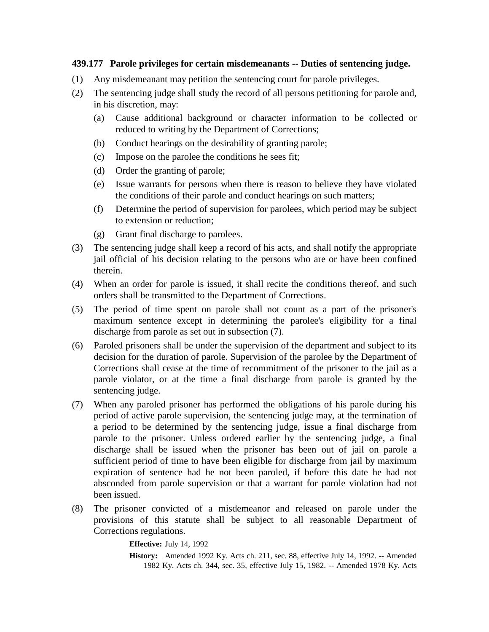## **439.177 Parole privileges for certain misdemeanants -- Duties of sentencing judge.**

- (1) Any misdemeanant may petition the sentencing court for parole privileges.
- (2) The sentencing judge shall study the record of all persons petitioning for parole and, in his discretion, may:
	- (a) Cause additional background or character information to be collected or reduced to writing by the Department of Corrections;
	- (b) Conduct hearings on the desirability of granting parole;
	- (c) Impose on the parolee the conditions he sees fit;
	- (d) Order the granting of parole;
	- (e) Issue warrants for persons when there is reason to believe they have violated the conditions of their parole and conduct hearings on such matters;
	- (f) Determine the period of supervision for parolees, which period may be subject to extension or reduction;
	- (g) Grant final discharge to parolees.
- (3) The sentencing judge shall keep a record of his acts, and shall notify the appropriate jail official of his decision relating to the persons who are or have been confined therein.
- (4) When an order for parole is issued, it shall recite the conditions thereof, and such orders shall be transmitted to the Department of Corrections.
- (5) The period of time spent on parole shall not count as a part of the prisoner's maximum sentence except in determining the parolee's eligibility for a final discharge from parole as set out in subsection (7).
- (6) Paroled prisoners shall be under the supervision of the department and subject to its decision for the duration of parole. Supervision of the parolee by the Department of Corrections shall cease at the time of recommitment of the prisoner to the jail as a parole violator, or at the time a final discharge from parole is granted by the sentencing judge.
- (7) When any paroled prisoner has performed the obligations of his parole during his period of active parole supervision, the sentencing judge may, at the termination of a period to be determined by the sentencing judge, issue a final discharge from parole to the prisoner. Unless ordered earlier by the sentencing judge, a final discharge shall be issued when the prisoner has been out of jail on parole a sufficient period of time to have been eligible for discharge from jail by maximum expiration of sentence had he not been paroled, if before this date he had not absconded from parole supervision or that a warrant for parole violation had not been issued.
- (8) The prisoner convicted of a misdemeanor and released on parole under the provisions of this statute shall be subject to all reasonable Department of Corrections regulations.

**Effective:** July 14, 1992

**History:** Amended 1992 Ky. Acts ch. 211, sec. 88, effective July 14, 1992. -- Amended 1982 Ky. Acts ch. 344, sec. 35, effective July 15, 1982. -- Amended 1978 Ky. Acts